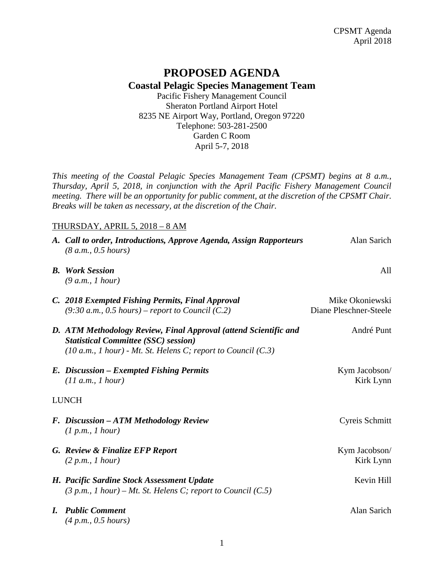## **PROPOSED AGENDA Coastal Pelagic Species Management Team** Pacific Fishery Management Council

Sheraton Portland Airport Hotel 8235 NE Airport Way, Portland, Oregon 97220 Telephone: 503-281-2500 Garden C Room April 5-7, 2018

*This meeting of the Coastal Pelagic Species Management Team (CPSMT) begins at 8 a.m., Thursday, April 5, 2018, in conjunction with the April Pacific Fishery Management Council meeting. There will be an opportunity for public comment, at the discretion of the CPSMT Chair. Breaks will be taken as necessary, at the discretion of the Chair.*

## THURSDAY, APRIL 5, 2018 – 8 AM

|              | A. Call to order, Introductions, Approve Agenda, Assign Rapporteurs<br>(8 a.m., 0.5 hours)                                                                                           | Alan Sarich                               |  |
|--------------|--------------------------------------------------------------------------------------------------------------------------------------------------------------------------------------|-------------------------------------------|--|
|              | <b>B.</b> Work Session<br>(9 a.m., 1 hour)                                                                                                                                           | All                                       |  |
|              | C. 2018 Exempted Fishing Permits, Final Approval<br>$(9:30 a.m., 0.5 hours)$ – report to Council (C.2)                                                                               | Mike Okoniewski<br>Diane Pleschner-Steele |  |
|              | D. ATM Methodology Review, Final Approval (attend Scientific and<br><b>Statistical Committee (SSC) session)</b><br>$(10 a.m., 1 hour)$ - Mt. St. Helens C; report to Council $(C.3)$ | André Punt                                |  |
|              | E. Discussion - Exempted Fishing Permits<br>(11 a.m., 1 hour)                                                                                                                        | Kym Jacobson/<br>Kirk Lynn                |  |
| <b>LUNCH</b> |                                                                                                                                                                                      |                                           |  |
|              | F. Discussion – ATM Methodology Review<br>(1 p.m., 1 hour)                                                                                                                           | Cyreis Schmitt                            |  |
|              | G. Review & Finalize EFP Report<br>(2 p.m., I hour)                                                                                                                                  | Kym Jacobson/<br>Kirk Lynn                |  |
|              | H. Pacific Sardine Stock Assessment Update<br>$(3 p.m., 1 hour) - Mt.$ St. Helens C; report to Council $(C.5)$                                                                       | Kevin Hill                                |  |
| L            | <b>Public Comment</b><br>(4 p.m., 0.5 hours)                                                                                                                                         | Alan Sarich                               |  |